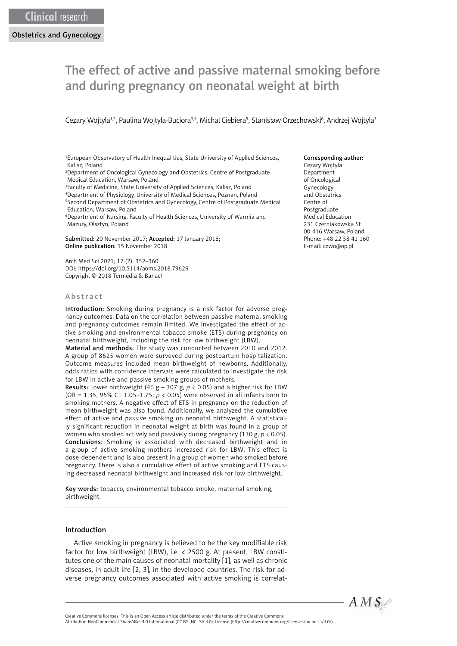# The effect of active and passive maternal smoking before and during pregnancy on neonatal weight at birth

Cezary Wojtyla<sup>1,2</sup>, Paulina Wojtyla-Buciora<sup>3,4</sup>, Michal Ciebiera<sup>5</sup>, Stanisław Orzechowski<sup>6</sup>, Andrzej Wojtyla<sup>3</sup>

1 European Observatory of Health Inequalities, State University of Applied Sciences, Kalisz, Poland

2 Department of Oncological Gynecology and Obstetrics, Centre of Postgraduate Medical Education, Warsaw, Poland

<sup>3</sup>Faculty of Medicine, State University of Applied Sciences, Kalisz, Poland 4 Department of Physiology, University of Medical Sciences, Poznan, Poland 5 Second Department of Obstetrics and Gynecology, Centre of Postgraduate Medical Education, Warsaw, Poland

6 Department of Nursing, Faculty of Health Sciences, University of Warmia and Mazury, Olsztyn, Poland

Submitted: 20 November 2017; Accepted: 17 January 2018; Online publication: 15 November 2018

Arch Med Sci 2021; 17 (2): 352–360 DOI: https://doi.org/10.5114/aoms.2018.79629 Copyright © 2018 Termedia & Banach

#### Abstract

Introduction: Smoking during pregnancy is a risk factor for adverse pregnancy outcomes. Data on the correlation between passive maternal smoking and pregnancy outcomes remain limited. We investigated the effect of active smoking and environmental tobacco smoke (ETS) during pregnancy on neonatal birthweight, including the risk for low birthweight (LBW).

Material and methods: The study was conducted between 2010 and 2012. A group of 8625 women were surveyed during postpartum hospitalization. Outcome measures included mean birthweight of newborns. Additionally, odds ratios with confidence intervals were calculated to investigate the risk for LBW in active and passive smoking groups of mothers.

**Results:** Lower birthweight (46 g – 307 g;  $p < 0.05$ ) and a higher risk for LBW (OR = 1.35, 95% CI: 1.05–1.75; *p* < 0.05) were observed in all infants born to smoking mothers. A negative effect of ETS in pregnancy on the reduction of mean birthweight was also found. Additionally, we analyzed the cumulative effect of active and passive smoking on neonatal birthweight. A statistically significant reduction in neonatal weight at birth was found in a group of women who smoked actively and passively during pregnancy (130 g; *p* < 0.05). Conclusions: Smoking is associated with decreased birthweight and in a group of active smoking mothers increased risk for LBW. This effect is dose-dependent and is also present in a group of women who smoked before pregnancy. There is also a cumulative effect of active smoking and ETS causing decreased neonatal birthweight and increased risk for low birthweight.

Key words: tobacco, environmental tobacco smoke, maternal smoking, birthweight.

#### Introduction

Active smoking in pregnancy is believed to be the key modifiable risk factor for low birthweight (LBW), i.e. < 2500 g. At present, LBW constitutes one of the main causes of neonatal mortality [1], as well as chronic diseases, in adult life [2, 3], in the developed countries. The risk for adverse pregnancy outcomes associated with active smoking is correlat-

# Corresponding author:

Cezary Wojtyla Department of Oncological Gynecology and Obstetrics Centre of Postgraduate Medical Education 231 Czerniakowska St 00-416 Warsaw, Poland Phone: +48 22 58 41 160 E-mail: czwo@op.pl



Attribution-NonCommercial-ShareAlike 4.0 International (CC BY -NC -SA 4.0). License (http://creativecommons.org/licenses/by-nc-sa/4.0/).

Creative Commons licenses: This is an Open Access article distributed under the terms of the Creative Commons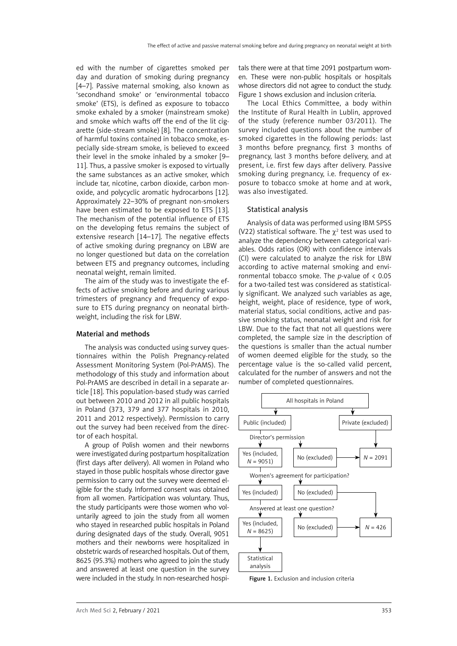ed with the number of cigarettes smoked per day and duration of smoking during pregnancy [4–7]. Passive maternal smoking, also known as 'secondhand smoke' or 'environmental tobacco smoke' (ETS), is defined as exposure to tobacco smoke exhaled by a smoker (mainstream smoke) and smoke which wafts off the end of the lit cigarette (side-stream smoke) [8]. The concentration of harmful toxins contained in tobacco smoke, especially side-stream smoke, is believed to exceed their level in the smoke inhaled by a smoker [9– 11]. Thus, a passive smoker is exposed to virtually the same substances as an active smoker, which include tar, nicotine, carbon dioxide, carbon monoxide, and polycyclic aromatic hydrocarbons [12]. Approximately 22–30% of pregnant non-smokers have been estimated to be exposed to ETS [13]. The mechanism of the potential influence of ETS on the developing fetus remains the subject of extensive research [14–17]. The negative effects of active smoking during pregnancy on LBW are no longer questioned but data on the correlation between ETS and pregnancy outcomes, including neonatal weight, remain limited.

The aim of the study was to investigate the effects of active smoking before and during various trimesters of pregnancy and frequency of exposure to ETS during pregnancy on neonatal birthweight, including the risk for LBW.

## Material and methods

The analysis was conducted using survey questionnaires within the Polish Pregnancy-related Assessment Monitoring System (Pol-PrAMS). The methodology of this study and information about Pol-PrAMS are described in detail in a separate article [18]. This population-based study was carried out between 2010 and 2012 in all public hospitals in Poland (373, 379 and 377 hospitals in 2010, 2011 and 2012 respectively). Permission to carry out the survey had been received from the director of each hospital.

A group of Polish women and their newborns were investigated during postpartum hospitalization (first days after delivery). All women in Poland who stayed in those public hospitals whose director gave permission to carry out the survey were deemed eligible for the study. Informed consent was obtained from all women. Participation was voluntary. Thus, the study participants were those women who voluntarily agreed to join the study from all women who stayed in researched public hospitals in Poland during designated days of the study. Overall, 9051 mothers and their newborns were hospitalized in obstetric wards of researched hospitals. Out of them, 8625 (95.3%) mothers who agreed to join the study and answered at least one question in the survey were included in the study. In non-researched hospitals there were at that time 2091 postpartum women. These were non-public hospitals or hospitals whose directors did not agree to conduct the study. Figure 1 shows exclusion and inclusion criteria.

The Local Ethics Committee, a body within the Institute of Rural Health in Lublin, approved of the study (reference number 03/2011). The survey included questions about the number of smoked cigarettes in the following periods: last 3 months before pregnancy, first 3 months of pregnancy, last 3 months before delivery, and at present, i.e. first few days after delivery. Passive smoking during pregnancy, i.e. frequency of exposure to tobacco smoke at home and at work, was also investigated.

# Statistical analysis

Analysis of data was performed using IBM SPSS (V22) statistical software. The  $\chi^2$  test was used to analyze the dependency between categorical variables. Odds ratios (OR) with confidence intervals (CI) were calculated to analyze the risk for LBW according to active maternal smoking and environmental tobacco smoke. The *p*-value of < 0.05 for a two-tailed test was considered as statistically significant. We analyzed such variables as age, height, weight, place of residence, type of work, material status, social conditions, active and passive smoking status, neonatal weight and risk for LBW. Due to the fact that not all questions were completed, the sample size in the description of the questions is smaller than the actual number of women deemed eligible for the study, so the percentage value is the so-called valid percent, calculated for the number of answers and not the number of completed questionnaires.



Figure 1. Exclusion and inclusion criteria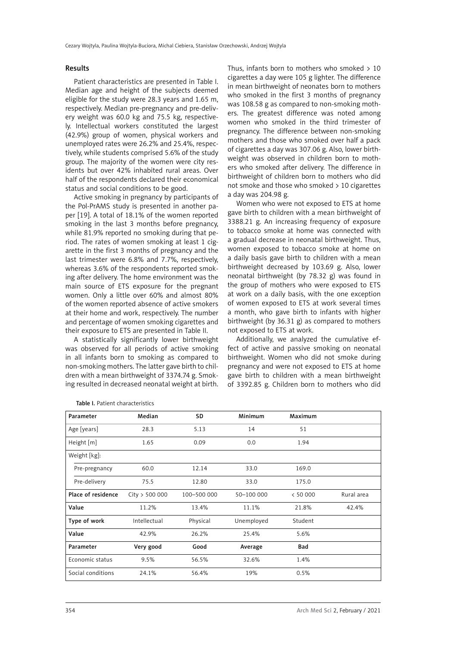#### Results

Patient characteristics are presented in Table I. Median age and height of the subjects deemed eligible for the study were 28.3 years and 1.65 m, respectively. Median pre-pregnancy and pre-delivery weight was 60.0 kg and 75.5 kg, respectively. Intellectual workers constituted the largest (42.9%) group of women, physical workers and unemployed rates were 26.2% and 25.4%, respectively, while students comprised 5.6% of the study group. The majority of the women were city residents but over 42% inhabited rural areas. Over half of the respondents declared their economical status and social conditions to be good.

Active smoking in pregnancy by participants of the Pol-PrAMS study is presented in another paper [19]. A total of 18.1% of the women reported smoking in the last 3 months before pregnancy, while 81.9% reported no smoking during that period. The rates of women smoking at least 1 cigarette in the first 3 months of pregnancy and the last trimester were 6.8% and 7.7%, respectively, whereas 3.6% of the respondents reported smoking after delivery. The home environment was the main source of ETS exposure for the pregnant women. Only a little over 60% and almost 80% of the women reported absence of active smokers at their home and work, respectively. The number and percentage of women smoking cigarettes and their exposure to ETS are presented in Table II.

A statistically significantly lower birthweight was observed for all periods of active smoking in all infants born to smoking as compared to non-smoking mothers. The latter gave birth to children with a mean birthweight of 3374.74 g. Smoking resulted in decreased neonatal weight at birth. Thus, infants born to mothers who smoked > 10 cigarettes a day were 105 g lighter. The difference in mean birthweight of neonates born to mothers who smoked in the first 3 months of pregnancy was 108.58 g as compared to non-smoking mothers. The greatest difference was noted among women who smoked in the third trimester of pregnancy. The difference between non-smoking mothers and those who smoked over half a pack of cigarettes a day was 307.06 g. Also, lower birthweight was observed in children born to mothers who smoked after delivery. The difference in birthweight of children born to mothers who did not smoke and those who smoked > 10 cigarettes a day was 204.98 g.

Women who were not exposed to ETS at home gave birth to children with a mean birthweight of 3388.21 g. An increasing frequency of exposure to tobacco smoke at home was connected with a gradual decrease in neonatal birthweight. Thus, women exposed to tobacco smoke at home on a daily basis gave birth to children with a mean birthweight decreased by 103.69 g. Also, lower neonatal birthweight (by 78.32 g) was found in the group of mothers who were exposed to ETS at work on a daily basis, with the one exception of women exposed to ETS at work several times a month, who gave birth to infants with higher birthweight (by 36.31 g) as compared to mothers not exposed to ETS at work.

Additionally, we analyzed the cumulative effect of active and passive smoking on neonatal birthweight. Women who did not smoke during pregnancy and were not exposed to ETS at home gave birth to children with a mean birthweight of 3392.85 g. Children born to mothers who did

| Parameter          | Median         | SD          | Minimum    | Maximum    |            |
|--------------------|----------------|-------------|------------|------------|------------|
| Age [years]        | 28.3           | 5.13        | 14         | 51         |            |
| Height $[m]$       | 1.65           | 0.09        | 0.0        | 1.94       |            |
| Weight [kg]:       |                |             |            |            |            |
| Pre-pregnancy      | 60.0           | 12.14       | 33.0       | 169.0      |            |
| Pre-delivery       | 75.5           | 12.80       | 33.0       | 175.0      |            |
| Place of residence | City > 500 000 | 100-500 000 | 50-100 000 | < 50000    | Rural area |
| Value              | 11.2%          | 13.4%       | 11.1%      | 21.8%      | 42.4%      |
| Type of work       | Intellectual   | Physical    | Unemployed | Student    |            |
| Value              | 42.9%          | 26.2%       | 25.4%      | 5.6%       |            |
| Parameter          | Very good      | Good        | Average    | <b>Bad</b> |            |
| Economic status    | 9.5%           | 56.5%       | 32.6%      | 1.4%       |            |
| Social conditions  | 24.1%          | 56.4%       | 19%        | 0.5%       |            |

Table I. Patient characteristics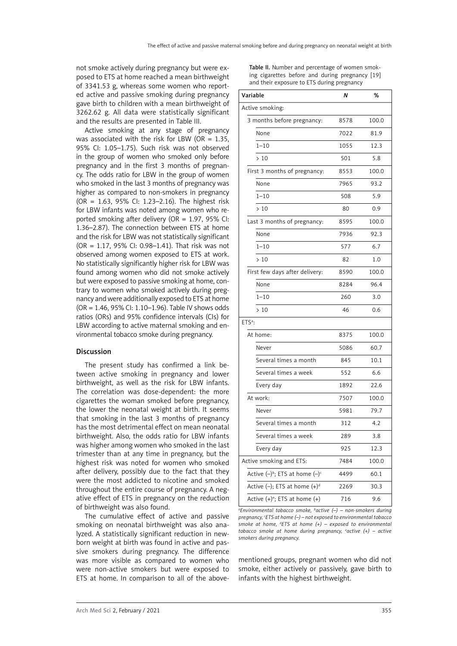not smoke actively during pregnancy but were exposed to ETS at home reached a mean birthweight of 3341.53 g, whereas some women who reported active and passive smoking during pregnancy gave birth to children with a mean birthweight of 3262.62 g. All data were statistically significant and the results are presented in Table III.

Active smoking at any stage of pregnancy was associated with the risk for LBW (OR =  $1.35$ , 95% CI: 1.05–1.75). Such risk was not observed in the group of women who smoked only before pregnancy and in the first 3 months of pregnancy. The odds ratio for LBW in the group of women who smoked in the last 3 months of pregnancy was higher as compared to non-smokers in pregnancy (OR = 1.63, 95% CI: 1.23–2.16). The highest risk for LBW infants was noted among women who reported smoking after delivery (OR = 1.97, 95% CI: 1.36–2.87). The connection between ETS at home and the risk for LBW was not statistically significant (OR = 1.17, 95% CI: 0.98–1.41). That risk was not observed among women exposed to ETS at work. No statistically significantly higher risk for LBW was found among women who did not smoke actively but were exposed to passive smoking at home, contrary to women who smoked actively during pregnancy and were additionally exposed to ETS at home (OR = 1.46, 95% CI: 1.10–1.96). Table IV shows odds ratios (ORs) and 95% confidence intervals (CIs) for LBW according to active maternal smoking and environmental tobacco smoke during pregnancy.

## Discussion

The present study has confirmed a link between active smoking in pregnancy and lower birthweight, as well as the risk for LBW infants. The correlation was dose-dependent: the more cigarettes the woman smoked before pregnancy, the lower the neonatal weight at birth. It seems that smoking in the last 3 months of pregnancy has the most detrimental effect on mean neonatal birthweight. Also, the odds ratio for LBW infants was higher among women who smoked in the last trimester than at any time in pregnancy, but the highest risk was noted for women who smoked after delivery, possibly due to the fact that they were the most addicted to nicotine and smoked throughout the entire course of pregnancy. A negative effect of ETS in pregnancy on the reduction of birthweight was also found.

The cumulative effect of active and passive smoking on neonatal birthweight was also analyzed. A statistically significant reduction in newborn weight at birth was found in active and passive smokers during pregnancy. The difference was more visible as compared to women who were non-active smokers but were exposed to ETS at home. In comparison to all of the aboveTable II. Number and percentage of women smoking cigarettes before and during pregnancy [19] and their exposure to ETS during pregnancy

| Variable                             | N    | %     |
|--------------------------------------|------|-------|
| Active smoking:                      |      |       |
| 3 months before pregnancy:           | 8578 | 100.0 |
| None                                 | 7022 | 81.9  |
| $1 - 10$                             | 1055 | 12.3  |
| >10                                  | 501  | 5.8   |
| First 3 months of pregnancy:         | 8553 | 100.0 |
| None                                 | 7965 | 93.2  |
| $1 - 10$                             | 508  | 5.9   |
| >10                                  | 80   | 0.9   |
| Last 3 months of pregnancy:          | 8595 | 100.0 |
| None                                 | 7936 | 92.3  |
| $1 - 10$                             | 577  | 6.7   |
| >10                                  | 82   | 1.0   |
| First few days after delivery:       | 8590 | 100.0 |
| None                                 | 8284 | 96.4  |
| $1 - 10$                             | 260  | 3.0   |
| >10                                  | 46   | 0.6   |
| ETS <sup>a</sup> :                   |      |       |
| At home:                             | 8375 | 100.0 |
| Never                                | 5086 | 60.7  |
| Several times a month                | 845  | 10.1  |
| Several times a week                 | 552  | 6.6   |
| Every day                            | 1892 | 22.6  |
| At work:                             | 7507 | 100.0 |
| Never                                | 5981 | 79.7  |
| Several times a month                | 312  | 4.2   |
| Several times a week                 | 289  | 3.8   |
| Every day                            | 925  | 12.3  |
| Active smoking and ETS:              | 7484 | 100.0 |
| Active $(-)^b$ ; ETS at home $(-)^c$ | 4499 | 60.1  |
| Active $(-)$ ; ETS at home $(+)^d$   | 2269 | 30.3  |
| Active $(+)^e$ ; ETS at home $(+)$   | 716  | 9.6   |

*a Environmental tobacco smoke, b active (–) – non-smokers during pregnancy, c ETS at home (–) – not exposed to environmental tobacco smoke at home, d ETS at home (+) – exposed to environmental tobacco smoke at home during pregnancy, e active (+) – active smokers during pregnancy.*

mentioned groups, pregnant women who did not smoke, either actively or passively, gave birth to infants with the highest birthweight.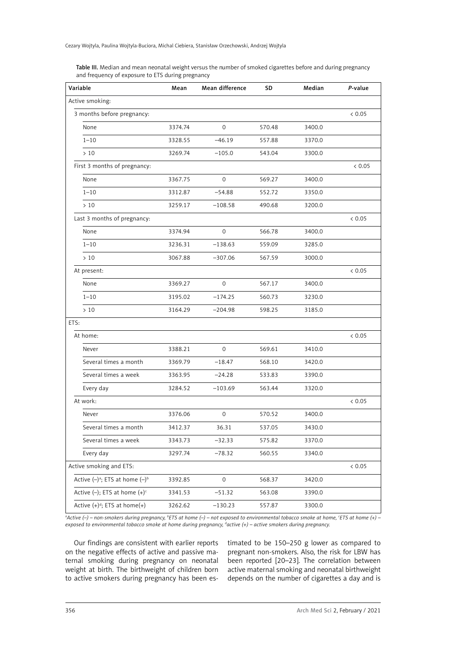Table III. Median and mean neonatal weight versus the number of smoked cigarettes before and during pregnancy and frequency of exposure to ETS during pregnancy

| Variable                                      | Mean    | Mean difference     | SD     | Median | P-value  |
|-----------------------------------------------|---------|---------------------|--------|--------|----------|
| Active smoking:                               |         |                     |        |        |          |
| 3 months before pregnancy:                    |         |                     |        |        | < 0.05   |
| None                                          | 3374.74 | $\mathbf{O}$        | 570.48 | 3400.0 |          |
| $1 - 10$                                      | 3328.55 | $-46.19$            | 557.88 | 3370.0 |          |
| >10                                           | 3269.74 | $-105.0$            | 543.04 | 3300.0 |          |
| First 3 months of pregnancy:                  |         |                     |        |        | < 0.05   |
| None                                          | 3367.75 | $\mathbf{O}$        | 569.27 | 3400.0 |          |
| $1 - 10$                                      | 3312.87 | $-54.88$            | 552.72 | 3350.0 |          |
| >10                                           | 3259.17 | $-108.58$           | 490.68 | 3200.0 |          |
| Last 3 months of pregnancy:                   |         |                     |        |        | & 0.05   |
| None                                          | 3374.94 | $\mathbf{O}$        | 566.78 | 3400.0 |          |
| $1 - 10$                                      | 3236.31 | $-138.63$           | 559.09 | 3285.0 |          |
| >10                                           | 3067.88 | $-307.06$           | 567.59 | 3000.0 |          |
| At present:                                   |         |                     |        |        | < 0.05   |
| None                                          | 3369.27 | $\mathsf{O}\xspace$ | 567.17 | 3400.0 |          |
| $1 - 10$                                      | 3195.02 | $-174.25$           | 560.73 | 3230.0 |          |
| >10                                           | 3164.29 | $-204.98$           | 598.25 | 3185.0 |          |
| ETS:                                          |         |                     |        |        |          |
| At home:                                      |         |                     |        |        | & 0.05   |
| Never                                         | 3388.21 | 0                   | 569.61 | 3410.0 |          |
| Several times a month                         | 3369.79 | $-18.47$            | 568.10 | 3420.0 |          |
| Several times a week                          | 3363.95 | $-24.28$            | 533.83 | 3390.0 |          |
| Every day                                     | 3284.52 | $-103.69$           | 563.44 | 3320.0 |          |
| At work:                                      |         |                     |        |        | & 0.05   |
| Never                                         | 3376.06 | $\mathsf{O}\xspace$ | 570.52 | 3400.0 |          |
| Several times a month                         | 3412.37 | 36.31               | 537.05 | 3430.0 |          |
| Several times a week                          | 3343.73 | $-32.33$            | 575.82 | 3370.0 |          |
| Every day                                     | 3297.74 | $-78.32$            | 560.55 | 3340.0 |          |
| Active smoking and ETS:                       |         |                     |        |        | $< 0.05$ |
| Active $(-)^a$ ; ETS at home $(-)^b$          | 3392.85 | $\mathsf{O}\xspace$ | 568.37 | 3420.0 |          |
| Active $(-)$ ; ETS at home $(+)$ <sup>c</sup> | 3341.53 | $-51.32$            | 563.08 | 3390.0 |          |
| Active $(+)^d$ ; ETS at home(+)               | 3262.62 | $-130.23$           | 557.87 | 3300.0 |          |

*a Active (–) – non-smokers during pregnancy, b ETS at home (–) – not exposed to environmental tobacco smoke at home, c ETS at home (+) – exposed to environmental tobacco smoke at home during pregnancy, d active (+) – active smokers during pregnancy.*

Our findings are consistent with earlier reports on the negative effects of active and passive maternal smoking during pregnancy on neonatal weight at birth. The birthweight of children born to active smokers during pregnancy has been estimated to be 150–250 g lower as compared to pregnant non-smokers. Also, the risk for LBW has been reported [20–23]. The correlation between active maternal smoking and neonatal birthweight depends on the number of cigarettes a day and is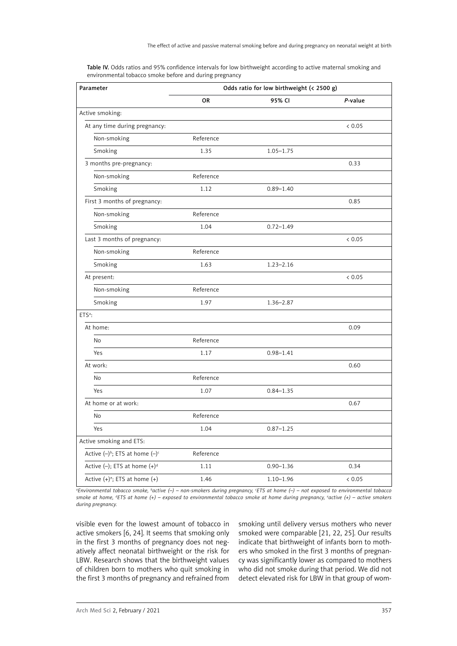| Parameter                                | Odds ratio for low birthweight (< 2500 g) |               |         |  |  |
|------------------------------------------|-------------------------------------------|---------------|---------|--|--|
|                                          | <b>OR</b>                                 | 95% CI        | P-value |  |  |
| Active smoking:                          |                                           |               |         |  |  |
| At any time during pregnancy:            |                                           |               | < 0.05  |  |  |
| Non-smoking                              | Reference                                 |               |         |  |  |
| Smoking                                  | 1.35                                      | $1.05 - 1.75$ |         |  |  |
| 3 months pre-pregnancy:                  |                                           |               | 0.33    |  |  |
| Non-smoking                              | Reference                                 |               |         |  |  |
| Smoking                                  | 1.12                                      | $0.89 - 1.40$ |         |  |  |
| First 3 months of pregnancy:             |                                           |               | 0.85    |  |  |
| Non-smoking                              | Reference                                 |               |         |  |  |
| Smoking                                  | 1.04                                      | $0.72 - 1.49$ |         |  |  |
| Last 3 months of pregnancy:              |                                           |               | < 0.05  |  |  |
| Non-smoking                              | Reference                                 |               |         |  |  |
| Smoking                                  | 1.63                                      | $1.23 - 2.16$ |         |  |  |
| At present:                              |                                           |               | < 0.05  |  |  |
| Non-smoking                              | Reference                                 |               |         |  |  |
| Smoking                                  | 1.97                                      | $1.36 - 2.87$ |         |  |  |
| ETS <sup>a</sup> :                       |                                           |               |         |  |  |
| At home:                                 |                                           |               | 0.09    |  |  |
| No                                       | Reference                                 |               |         |  |  |
| Yes                                      | 1.17                                      | $0.98 - 1.41$ |         |  |  |
| At work:                                 |                                           |               | 0.60    |  |  |
| No                                       | Reference                                 |               |         |  |  |
| Yes                                      | 1.07                                      | $0.84 - 1.35$ |         |  |  |
| At home or at work:                      |                                           |               | 0.67    |  |  |
| No                                       | Reference                                 |               |         |  |  |
| Yes                                      | 1.04                                      | $0.87 - 1.25$ |         |  |  |
| Active smoking and ETS:                  |                                           |               |         |  |  |
| Active $(-)^{b}$ ; ETS at home $(-)^{c}$ | Reference                                 |               |         |  |  |
| Active $(-)$ ; ETS at home $(+)^d$       | 1.11                                      | $0.90 - 1.36$ | 0.34    |  |  |
| Active $(+)^e$ ; ETS at home $(+)$       | 1.46                                      | $1.10 - 1.96$ | < 0.05  |  |  |

Table IV. Odds ratios and 95% confidence intervals for low birthweight according to active maternal smoking and environmental tobacco smoke before and during pregnancy

*a Environmental tobacco smoke, b active (–) – non-smokers during pregnancy, c ETS at home (–) – not exposed to environmental tobacco smoke at home, d ETS at home (+) – exposed to environmental tobacco smoke at home during pregnancy, e active (+) – active smokers during pregnancy.*

visible even for the lowest amount of tobacco in active smokers [6, 24]. It seems that smoking only in the first 3 months of pregnancy does not negatively affect neonatal birthweight or the risk for LBW. Research shows that the birthweight values of children born to mothers who quit smoking in the first 3 months of pregnancy and refrained from smoking until delivery versus mothers who never smoked were comparable [21, 22, 25]. Our results indicate that birthweight of infants born to mothers who smoked in the first 3 months of pregnancy was significantly lower as compared to mothers who did not smoke during that period. We did not detect elevated risk for LBW in that group of wom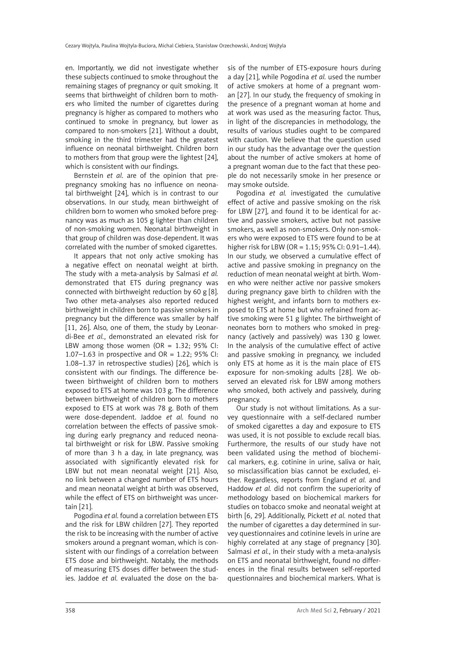en. Importantly, we did not investigate whether these subjects continued to smoke throughout the remaining stages of pregnancy or quit smoking. It seems that birthweight of children born to mothers who limited the number of cigarettes during pregnancy is higher as compared to mothers who continued to smoke in pregnancy, but lower as compared to non-smokers [21]. Without a doubt, smoking in the third trimester had the greatest influence on neonatal birthweight. Children born to mothers from that group were the lightest [24], which is consistent with our findings.

Bernstein *et al*. are of the opinion that prepregnancy smoking has no influence on neonatal birthweight [24], which is in contrast to our observations. In our study, mean birthweight of children born to women who smoked before pregnancy was as much as 105 g lighter than children of non-smoking women. Neonatal birthweight in that group of children was dose-dependent. It was correlated with the number of smoked cigarettes.

It appears that not only active smoking has a negative effect on neonatal weight at birth. The study with a meta-analysis by Salmasi *et al.* demonstrated that ETS during pregnancy was connected with birthweight reduction by 60 g [8]. Two other meta-analyses also reported reduced birthweight in children born to passive smokers in pregnancy but the difference was smaller by half [11, 26]. Also, one of them, the study by Leonardi-Bee *et al.*, demonstrated an elevated risk for LBW among those women (OR =  $1.32$ ; 95% CI: 1.07–1.63 in prospective and  $OR = 1.22$ ; 95% CI: 1.08–1.37 in retrospective studies) [26], which is consistent with our findings. The difference between birthweight of children born to mothers exposed to ETS at home was 103 g. The difference between birthweight of children born to mothers exposed to ETS at work was 78 g. Both of them were dose-dependent. Jaddoe *et al.* found no correlation between the effects of passive smoking during early pregnancy and reduced neonatal birthweight or risk for LBW. Passive smoking of more than 3 h a day, in late pregnancy, was associated with significantly elevated risk for LBW but not mean neonatal weight [21]. Also, no link between a changed number of ETS hours and mean neonatal weight at birth was observed, while the effect of ETS on birthweight was uncertain [21].

Pogodina *et al.* found a correlation between ETS and the risk for LBW children [27]. They reported the risk to be increasing with the number of active smokers around a pregnant woman, which is consistent with our findings of a correlation between ETS dose and birthweight. Notably, the methods of measuring ETS doses differ between the studies. Jaddoe *et al.* evaluated the dose on the basis of the number of ETS-exposure hours during a day [21], while Pogodina *et al.* used the number of active smokers at home of a pregnant woman [27]. In our study, the frequency of smoking in the presence of a pregnant woman at home and at work was used as the measuring factor. Thus, in light of the discrepancies in methodology, the results of various studies ought to be compared with caution. We believe that the question used in our study has the advantage over the question about the number of active smokers at home of a pregnant woman due to the fact that these people do not necessarily smoke in her presence or may smoke outside.

Pogodina *et al.* investigated the cumulative effect of active and passive smoking on the risk for LBW [27], and found it to be identical for active and passive smokers, active but not passive smokers, as well as non-smokers. Only non-smokers who were exposed to ETS were found to be at higher risk for LBW (OR = 1.15; 95% CI: 0.91–1.44). In our study, we observed a cumulative effect of active and passive smoking in pregnancy on the reduction of mean neonatal weight at birth. Women who were neither active nor passive smokers during pregnancy gave birth to children with the highest weight, and infants born to mothers exposed to ETS at home but who refrained from active smoking were 51 g lighter. The birthweight of neonates born to mothers who smoked in pregnancy (actively and passively) was 130 g lower. In the analysis of the cumulative effect of active and passive smoking in pregnancy, we included only ETS at home as it is the main place of ETS exposure for non-smoking adults [28]. We observed an elevated risk for LBW among mothers who smoked, both actively and passively, during pregnancy.

Our study is not without limitations. As a survey questionnaire with a self-declared number of smoked cigarettes a day and exposure to ETS was used, it is not possible to exclude recall bias. Furthermore, the results of our study have not been validated using the method of biochemical markers, e.g. cotinine in urine, saliva or hair, so misclassification bias cannot be excluded, either. Regardless, reports from England *et al.* and Haddow *et al.* did not confirm the superiority of methodology based on biochemical markers for studies on tobacco smoke and neonatal weight at birth [6, 29]. Additionally, Pickett *et al.* noted that the number of cigarettes a day determined in survey questionnaires and cotinine levels in urine are highly correlated at any stage of pregnancy [30]. Salmasi *et al.*, in their study with a meta-analysis on ETS and neonatal birthweight, found no differences in the final results between self-reported questionnaires and biochemical markers. What is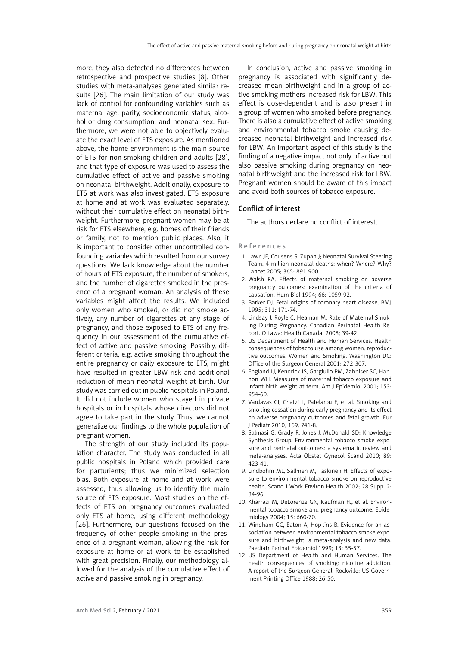more, they also detected no differences between retrospective and prospective studies [8]. Other studies with meta-analyses generated similar results [26]. The main limitation of our study was lack of control for confounding variables such as maternal age, parity, socioeconomic status, alcohol or drug consumption, and neonatal sex. Furthermore, we were not able to objectively evaluate the exact level of ETS exposure. As mentioned above, the home environment is the main source of ETS for non-smoking children and adults [28], and that type of exposure was used to assess the cumulative effect of active and passive smoking on neonatal birthweight. Additionally, exposure to ETS at work was also investigated. ETS exposure at home and at work was evaluated separately, without their cumulative effect on neonatal birthweight. Furthermore, pregnant women may be at risk for ETS elsewhere, e.g. homes of their friends or family, not to mention public places. Also, it is important to consider other uncontrolled confounding variables which resulted from our survey questions. We lack knowledge about the number of hours of ETS exposure, the number of smokers, and the number of cigarettes smoked in the presence of a pregnant woman. An analysis of these variables might affect the results. We included only women who smoked, or did not smoke actively, any number of cigarettes at any stage of pregnancy, and those exposed to ETS of any frequency in our assessment of the cumulative effect of active and passive smoking. Possibly, different criteria, e.g. active smoking throughout the entire pregnancy or daily exposure to ETS, might have resulted in greater LBW risk and additional reduction of mean neonatal weight at birth. Our study was carried out in public hospitals in Poland. It did not include women who stayed in private hospitals or in hospitals whose directors did not agree to take part in the study. Thus, we cannot generalize our findings to the whole population of pregnant women.

The strength of our study included its population character. The study was conducted in all public hospitals in Poland which provided care for parturients; thus we minimized selection bias. Both exposure at home and at work were assessed, thus allowing us to identify the main source of ETS exposure. Most studies on the effects of ETS on pregnancy outcomes evaluated only ETS at home, using different methodology [26]. Furthermore, our questions focused on the frequency of other people smoking in the presence of a pregnant woman, allowing the risk for exposure at home or at work to be established with great precision. Finally, our methodology allowed for the analysis of the cumulative effect of active and passive smoking in pregnancy.

In conclusion, active and passive smoking in pregnancy is associated with significantly decreased mean birthweight and in a group of active smoking mothers increased risk for LBW. This effect is dose-dependent and is also present in a group of women who smoked before pregnancy. There is also a cumulative effect of active smoking and environmental tobacco smoke causing decreased neonatal birthweight and increased risk for LBW. An important aspect of this study is the finding of a negative impact not only of active but also passive smoking during pregnancy on neonatal birthweight and the increased risk for LBW. Pregnant women should be aware of this impact and avoid both sources of tobacco exposure.

## Conflict of interest

The authors declare no conflict of interest.

## References

- 1. Lawn JE, Cousens S, Zupan J; Neonatal Survival Steering Team. 4 million neonatal deaths: when? Where? Why? Lancet 2005; 365: 891-900.
- 2. Walsh RA. Effects of maternal smoking on adverse pregnancy outcomes: examination of the criteria of causation. Hum Biol 1994; 66: 1059-92.
- 3. Barker DJ. Fetal origins of coronary heart disease. BMJ 1995; 311: 171-74.
- 4. Lindsay J, Royle C, Heaman M. Rate of Maternal Smoking During Pregnancy. Canadian Perinatal Health Report. Ottawa: Health Canada; 2008; 39-42.
- 5. US Department of Health and Human Services. Health consequences of tobacco use among women: reproductive outcomes. Women and Smoking. Washington DC: Office of the Surgeon General 2001; 272-307.
- 6. England LJ, Kendrick JS, Gargiullo PM, Zahniser SC, Hannon WH. Measures of maternal tobacco exposure and infant birth weight at term. Am J Epidemiol 2001; 153: 954-60.
- 7. Vardavas CI, Chatzi L, Patelarou E, et al. Smoking and smoking cessation during early pregnancy and its effect on adverse pregnancy outcomes and fetal growth. Eur J Pediatr 2010; 169: 741-8.
- 8. Salmasi G, Grady R, Jones J, McDonald SD; Knowledge Synthesis Group. Environmental tobacco smoke exposure and perinatal outcomes: a systematic review and meta-analyses. Acta Obstet Gynecol Scand 2010; 89: 423-41.
- 9. Lindbohm ML, Sallmén M, Taskinen H. Effects of exposure to environmental tobacco smoke on reproductive health. Scand J Work Environ Health 2002; 28 Suppl 2: 84-96.
- 10. Kharrazi M, DeLorenze GN, Kaufman FL, et al. Environmental tobacco smoke and pregnancy outcome. Epidemiology 2004; 15: 660-70.
- 11. Windham GC, Eaton A, Hopkins B. Evidence for an association between environmental tobacco smoke exposure and birthweight: a meta-analysis and new data. Paediatr Perinat Epidemiol 1999; 13: 35-57.
- 12. US Department of Health and Human Services. The health consequences of smoking: nicotine addiction. A report of the Surgeon General. Rockville: US Government Printing Office 1988; 26-50.